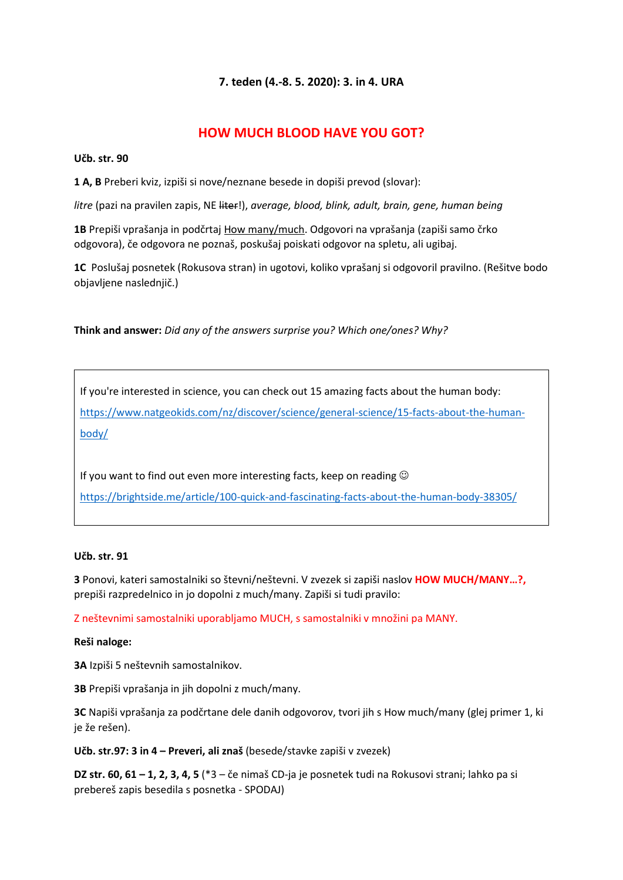## **7. teden (4.-8. 5. 2020): 3. in 4. URA**

# **HOW MUCH BLOOD HAVE YOU GOT?**

#### **Učb. str. 90**

**1 A, B** Preberi kviz, izpiši si nove/neznane besede in dopiši prevod (slovar):

*litre* (pazi na pravilen zapis, NE liter!), *average, blood, blink, adult, brain, gene, human being*

**1B** Prepiši vprašanja in podčrtaj How many/much. Odgovori na vprašanja (zapiši samo črko odgovora), če odgovora ne poznaš, poskušaj poiskati odgovor na spletu, ali ugibaj.

**1C** Poslušaj posnetek (Rokusova stran) in ugotovi, koliko vprašanj si odgovoril pravilno. (Rešitve bodo objavljene naslednjič.)

**Think and answer:** *Did any of the answers surprise you? Which one/ones? Why?*

If you're interested in science, you can check out 15 amazing facts about the human body: [https://www.natgeokids.com/nz/discover/science/general-science/15-facts-about-the-human](https://www.natgeokids.com/nz/discover/science/general-science/15-facts-about-the-human-body/)[body/](https://www.natgeokids.com/nz/discover/science/general-science/15-facts-about-the-human-body/)

If you want to find out even more interesting facts, keep on reading  $\odot$ <https://brightside.me/article/100-quick-and-fascinating-facts-about-the-human-body-38305/>

#### **Učb. str. 91**

**3** Ponovi, kateri samostalniki so števni/neštevni. V zvezek si zapiši naslov **HOW MUCH/MANY…?,** prepiši razpredelnico in jo dopolni z much/many. Zapiši si tudi pravilo:

Z neštevnimi samostalniki uporabljamo MUCH, s samostalniki v množini pa MANY.

#### **Reši naloge:**

**3A** Izpiši 5 neštevnih samostalnikov.

**3B** Prepiši vprašanja in jih dopolni z much/many.

**3C** Napiši vprašanja za podčrtane dele danih odgovorov, tvori jih s How much/many (glej primer 1, ki je že rešen).

**Učb. str.97: 3 in 4 – Preveri, ali znaš** (besede/stavke zapiši v zvezek)

**DZ str. 60, 61 – 1, 2, 3, 4, 5** (\*3 – če nimaš CD-ja je posnetek tudi na Rokusovi strani; lahko pa si prebereš zapis besedila s posnetka - SPODAJ)